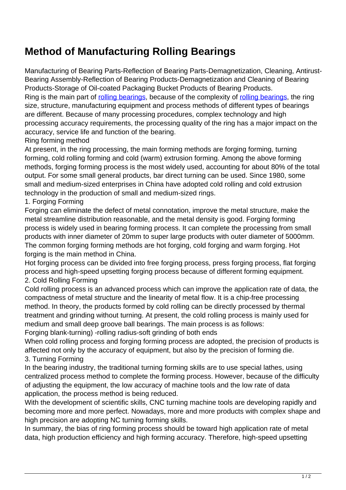## **Method of Manufacturing Rolling Bearings**

Manufacturing of Bearing Parts-Reflection of Bearing Parts-Demagnetization, Cleaning, Antirust-Bearing Assembly-Reflection of Bearing Products-Demagnetization and Cleaning of Bearing Products-Storage of Oil-coated Packaging Bucket Products of Bearing Products.

Ring is the main part of [rolling bearings,](http://therecordofwilkes.com/mud-53452628-wbl-205-wire-cylindrical-rolling-mill-bearing-197-6x212-4x7-4mm.html) because of the complexity of [rolling bearings](http://therecordofwilkes.com/mud-53452628-wbl-205-wire-cylindrical-rolling-mill-bearing-197-6x212-4x7-4mm.html), the ring size, structure, manufacturing equipment and process methods of different types of bearings are different. Because of many processing procedures, complex technology and high processing accuracy requirements, the processing quality of the ring has a major impact on the accuracy, service life and function of the bearing.

## Ring forming method

At present, in the ring processing, the main forming methods are forging forming, turning forming, cold rolling forming and cold (warm) extrusion forming. Among the above forming methods, forging forming process is the most widely used, accounting for about 80% of the total output. For some small general products, bar direct turning can be used. Since 1980, some small and medium-sized enterprises in China have adopted cold rolling and cold extrusion technology in the production of small and medium-sized rings.

## 1. Forging Forming

Forging can eliminate the defect of metal connotation, improve the metal structure, make the metal streamline distribution reasonable, and the metal density is good. Forging forming process is widely used in bearing forming process. It can complete the processing from small products with inner diameter of 20mm to super large products with outer diameter of 5000mm. The common forging forming methods are hot forging, cold forging and warm forging. Hot forging is the main method in China.

Hot forging process can be divided into free forging process, press forging process, flat forging process and high-speed upsetting forging process because of different forming equipment.

## 2. Cold Rolling Forming

Cold rolling process is an advanced process which can improve the application rate of data, the compactness of metal structure and the linearity of metal flow. It is a chip-free processing method. In theory, the products formed by cold rolling can be directly processed by thermal treatment and grinding without turning. At present, the cold rolling process is mainly used for medium and small deep groove ball bearings. The main process is as follows:

Forging blank-turning) -rolling radius-soft grinding of both ends

When cold rolling process and forging forming process are adopted, the precision of products is affected not only by the accuracy of equipment, but also by the precision of forming die. 3. Turning Forming

In the bearing industry, the traditional turning forming skills are to use special lathes, using centralized process method to complete the forming process. However, because of the difficulty of adjusting the equipment, the low accuracy of machine tools and the low rate of data application, the process method is being reduced.

With the development of scientific skills, CNC turning machine tools are developing rapidly and becoming more and more perfect. Nowadays, more and more products with complex shape and high precision are adopting NC turning forming skills.

In summary, the bias of ring forming process should be toward high application rate of metal data, high production efficiency and high forming accuracy. Therefore, high-speed upsetting